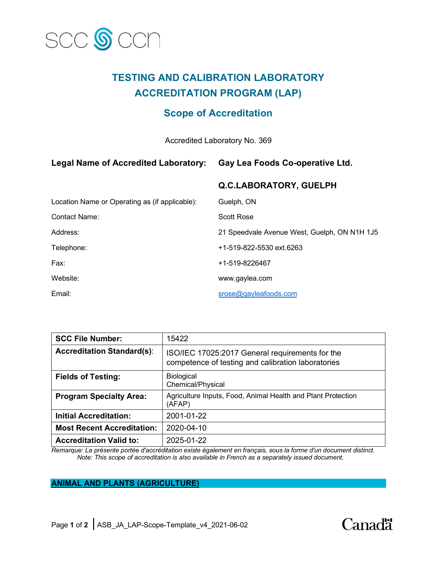

# **TESTING AND CALIBRATION LABORATORY ACCREDITATION PROGRAM (LAP)**

## **Scope of Accreditation**

Accredited Laboratory No. 369

### **Legal Name of Accredited Laboratory: Gay Lea Foods Co-operative Ltd.**

## **Q.C.LABORATORY, GUELPH**

| Location Name or Operating as (if applicable): | Guelph, ON                                   |
|------------------------------------------------|----------------------------------------------|
| <b>Contact Name:</b>                           | <b>Scott Rose</b>                            |
| Address:                                       | 21 Speedvale Avenue West, Guelph, ON N1H 1J5 |
| Telephone:                                     | +1-519-822-5530 ext.6263                     |
| Fax:                                           | +1-519-8226467                               |
| Website:                                       | www.gaylea.com                               |
| Email:                                         | srose@gayleafoods.com                        |

| <b>SCC File Number:</b>           | 15422                                                                                                 |
|-----------------------------------|-------------------------------------------------------------------------------------------------------|
| <b>Accreditation Standard(s):</b> | ISO/IEC 17025:2017 General requirements for the<br>competence of testing and calibration laboratories |
| <b>Fields of Testing:</b>         | Biological<br>Chemical/Physical                                                                       |
| <b>Program Specialty Area:</b>    | Agriculture Inputs, Food, Animal Health and Plant Protection<br>(AFAP)                                |
| <b>Initial Accreditation:</b>     | 2001-01-22                                                                                            |
| <b>Most Recent Accreditation:</b> | 2020-04-10                                                                                            |
| <b>Accreditation Valid to:</b>    | 2025-01-22                                                                                            |

*Remarque: La présente portée d'accréditation existe également en français, sous la forme d'un document distinct. Note: This scope of accreditation is also available in French as a separately issued document.*

## **ANIMAL AND PLANTS (AGRICULTURE)**